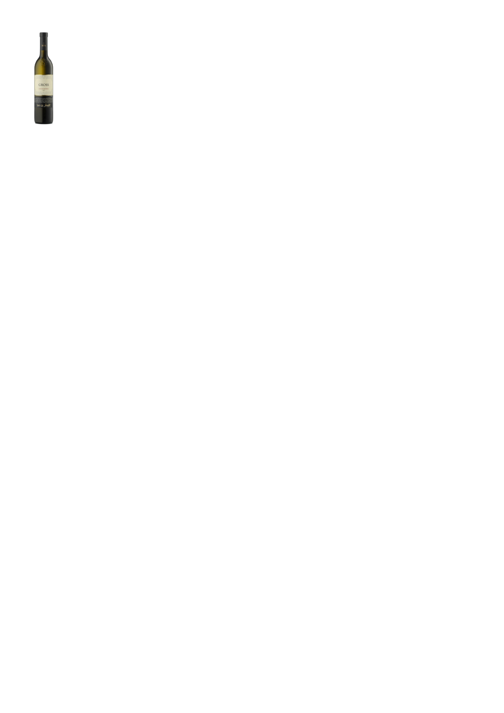